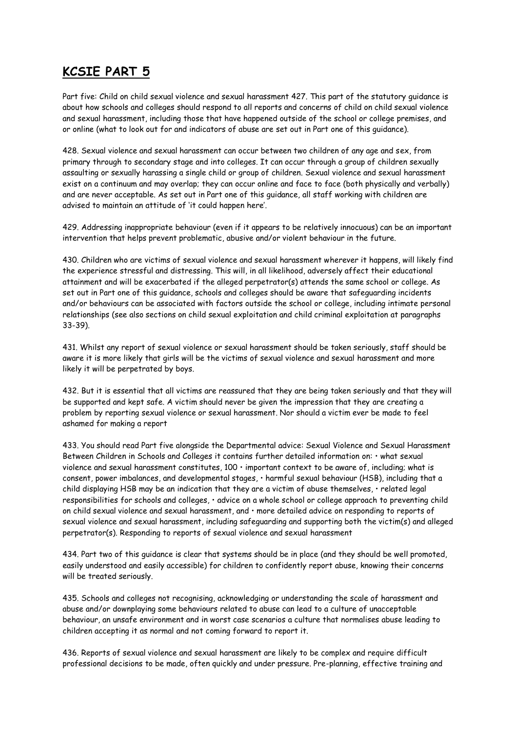## **KCSIE PART 5**

Part five: Child on child sexual violence and sexual harassment 427. This part of the statutory guidance is about how schools and colleges should respond to all reports and concerns of child on child sexual violence and sexual harassment, including those that have happened outside of the school or college premises, and or online (what to look out for and indicators of abuse are set out in Part one of this guidance).

428. Sexual violence and sexual harassment can occur between two children of any age and sex, from primary through to secondary stage and into colleges. It can occur through a group of children sexually assaulting or sexually harassing a single child or group of children. Sexual violence and sexual harassment exist on a continuum and may overlap; they can occur online and face to face (both physically and verbally) and are never acceptable. As set out in Part one of this guidance, all staff working with children are advised to maintain an attitude of 'it could happen here'.

429. Addressing inappropriate behaviour (even if it appears to be relatively innocuous) can be an important intervention that helps prevent problematic, abusive and/or violent behaviour in the future.

430. Children who are victims of sexual violence and sexual harassment wherever it happens, will likely find the experience stressful and distressing. This will, in all likelihood, adversely affect their educational attainment and will be exacerbated if the alleged perpetrator(s) attends the same school or college. As set out in Part one of this guidance, schools and colleges should be aware that safeguarding incidents and/or behaviours can be associated with factors outside the school or college, including intimate personal relationships (see also sections on child sexual exploitation and child criminal exploitation at paragraphs 33-39).

431. Whilst any report of sexual violence or sexual harassment should be taken seriously, staff should be aware it is more likely that girls will be the victims of sexual violence and sexual harassment and more likely it will be perpetrated by boys.

432. But it is essential that all victims are reassured that they are being taken seriously and that they will be supported and kept safe. A victim should never be given the impression that they are creating a problem by reporting sexual violence or sexual harassment. Nor should a victim ever be made to feel ashamed for making a report

433. You should read Part five alongside the Departmental advice: Sexual Violence and Sexual Harassment Between Children in Schools and Colleges it contains further detailed information on: • what sexual violence and sexual harassment constitutes, 100 • important context to be aware of, including; what is consent, power imbalances, and developmental stages, • harmful sexual behaviour (HSB), including that a child displaying HSB may be an indication that they are a victim of abuse themselves, • related legal responsibilities for schools and colleges, • advice on a whole school or college approach to preventing child on child sexual violence and sexual harassment, and • more detailed advice on responding to reports of sexual violence and sexual harassment, including safeguarding and supporting both the victim(s) and alleged perpetrator(s). Responding to reports of sexual violence and sexual harassment

434. Part two of this guidance is clear that systems should be in place (and they should be well promoted, easily understood and easily accessible) for children to confidently report abuse, knowing their concerns will be treated seriously.

435. Schools and colleges not recognising, acknowledging or understanding the scale of harassment and abuse and/or downplaying some behaviours related to abuse can lead to a culture of unacceptable behaviour, an unsafe environment and in worst case scenarios a culture that normalises abuse leading to children accepting it as normal and not coming forward to report it.

436. Reports of sexual violence and sexual harassment are likely to be complex and require difficult professional decisions to be made, often quickly and under pressure. Pre-planning, effective training and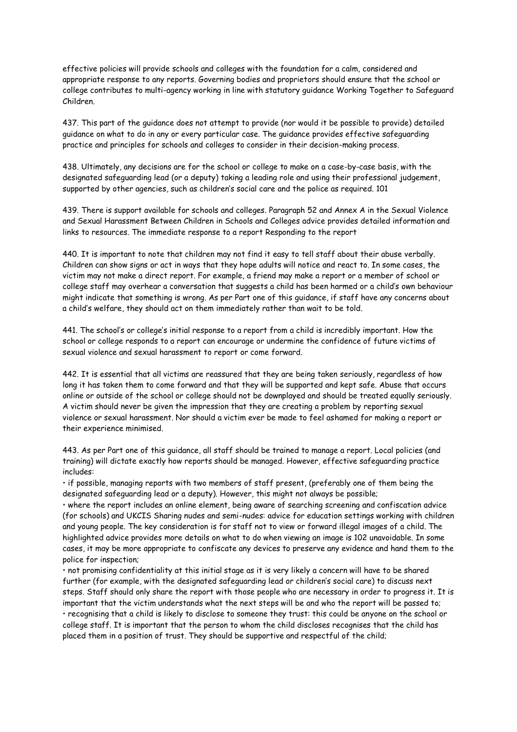effective policies will provide schools and colleges with the foundation for a calm, considered and appropriate response to any reports. Governing bodies and proprietors should ensure that the school or college contributes to multi-agency working in line with statutory guidance Working Together to Safeguard Children.

437. This part of the guidance does not attempt to provide (nor would it be possible to provide) detailed guidance on what to do in any or every particular case. The guidance provides effective safeguarding practice and principles for schools and colleges to consider in their decision-making process.

438. Ultimately, any decisions are for the school or college to make on a case-by-case basis, with the designated safeguarding lead (or a deputy) taking a leading role and using their professional judgement, supported by other agencies, such as children's social care and the police as required. 101

439. There is support available for schools and colleges. Paragraph 52 and Annex A in the Sexual Violence and Sexual Harassment Between Children in Schools and Colleges advice provides detailed information and links to resources. The immediate response to a report Responding to the report

440. It is important to note that children may not find it easy to tell staff about their abuse verbally. Children can show signs or act in ways that they hope adults will notice and react to. In some cases, the victim may not make a direct report. For example, a friend may make a report or a member of school or college staff may overhear a conversation that suggests a child has been harmed or a child's own behaviour might indicate that something is wrong. As per Part one of this guidance, if staff have any concerns about a child's welfare, they should act on them immediately rather than wait to be told.

441. The school's or college's initial response to a report from a child is incredibly important. How the school or college responds to a report can encourage or undermine the confidence of future victims of sexual violence and sexual harassment to report or come forward.

442. It is essential that all victims are reassured that they are being taken seriously, regardless of how long it has taken them to come forward and that they will be supported and kept safe. Abuse that occurs online or outside of the school or college should not be downplayed and should be treated equally seriously. A victim should never be given the impression that they are creating a problem by reporting sexual violence or sexual harassment. Nor should a victim ever be made to feel ashamed for making a report or their experience minimised.

443. As per Part one of this guidance, all staff should be trained to manage a report. Local policies (and training) will dictate exactly how reports should be managed. However, effective safeguarding practice includes:

• if possible, managing reports with two members of staff present, (preferably one of them being the designated safeguarding lead or a deputy). However, this might not always be possible;

• where the report includes an online element, being aware of searching screening and confiscation advice (for schools) and UKCIS Sharing nudes and semi-nudes: advice for education settings working with children and young people. The key consideration is for staff not to view or forward illegal images of a child. The highlighted advice provides more details on what to do when viewing an image is 102 unavoidable. In some cases, it may be more appropriate to confiscate any devices to preserve any evidence and hand them to the police for inspection;

• not promising confidentiality at this initial stage as it is very likely a concern will have to be shared further (for example, with the designated safeguarding lead or children's social care) to discuss next steps. Staff should only share the report with those people who are necessary in order to progress it. It is important that the victim understands what the next steps will be and who the report will be passed to; • recognising that a child is likely to disclose to someone they trust: this could be anyone on the school or college staff. It is important that the person to whom the child discloses recognises that the child has placed them in a position of trust. They should be supportive and respectful of the child;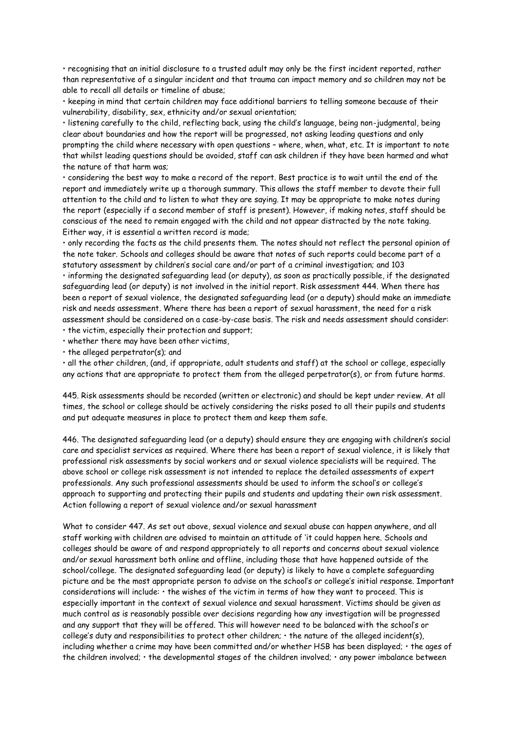• recognising that an initial disclosure to a trusted adult may only be the first incident reported, rather than representative of a singular incident and that trauma can impact memory and so children may not be able to recall all details or timeline of abuse;

• keeping in mind that certain children may face additional barriers to telling someone because of their vulnerability, disability, sex, ethnicity and/or sexual orientation;

• listening carefully to the child, reflecting back, using the child's language, being non-judgmental, being clear about boundaries and how the report will be progressed, not asking leading questions and only prompting the child where necessary with open questions – where, when, what, etc. It is important to note that whilst leading questions should be avoided, staff can ask children if they have been harmed and what the nature of that harm was;

• considering the best way to make a record of the report. Best practice is to wait until the end of the report and immediately write up a thorough summary. This allows the staff member to devote their full attention to the child and to listen to what they are saying. It may be appropriate to make notes during the report (especially if a second member of staff is present). However, if making notes, staff should be conscious of the need to remain engaged with the child and not appear distracted by the note taking. Either way, it is essential a written record is made;

• only recording the facts as the child presents them. The notes should not reflect the personal opinion of the note taker. Schools and colleges should be aware that notes of such reports could become part of a statutory assessment by children's social care and/or part of a criminal investigation; and 103 • informing the designated safeguarding lead (or deputy), as soon as practically possible, if the designated safeguarding lead (or deputy) is not involved in the initial report. Risk assessment 444. When there has been a report of sexual violence, the designated safeguarding lead (or a deputy) should make an immediate risk and needs assessment. Where there has been a report of sexual harassment, the need for a risk assessment should be considered on a case-by-case basis. The risk and needs assessment should consider: • the victim, especially their protection and support;

• whether there may have been other victims,

• the alleged perpetrator(s); and

• all the other children, (and, if appropriate, adult students and staff) at the school or college, especially any actions that are appropriate to protect them from the alleged perpetrator(s), or from future harms.

445. Risk assessments should be recorded (written or electronic) and should be kept under review. At all times, the school or college should be actively considering the risks posed to all their pupils and students and put adequate measures in place to protect them and keep them safe.

446. The designated safeguarding lead (or a deputy) should ensure they are engaging with children's social care and specialist services as required. Where there has been a report of sexual violence, it is likely that professional risk assessments by social workers and or sexual violence specialists will be required. The above school or college risk assessment is not intended to replace the detailed assessments of expert professionals. Any such professional assessments should be used to inform the school's or college's approach to supporting and protecting their pupils and students and updating their own risk assessment. Action following a report of sexual violence and/or sexual harassment

What to consider 447. As set out above, sexual violence and sexual abuse can happen anywhere, and all staff working with children are advised to maintain an attitude of 'it could happen here. Schools and colleges should be aware of and respond appropriately to all reports and concerns about sexual violence and/or sexual harassment both online and offline, including those that have happened outside of the school/college. The designated safeguarding lead (or deputy) is likely to have a complete safeguarding picture and be the most appropriate person to advise on the school's or college's initial response. Important considerations will include: • the wishes of the victim in terms of how they want to proceed. This is especially important in the context of sexual violence and sexual harassment. Victims should be given as much control as is reasonably possible over decisions regarding how any investigation will be progressed and any support that they will be offered. This will however need to be balanced with the school's or college's duty and responsibilities to protect other children; • the nature of the alleged incident(s), including whether a crime may have been committed and/or whether HSB has been displayed; • the ages of the children involved; • the developmental stages of the children involved; • any power imbalance between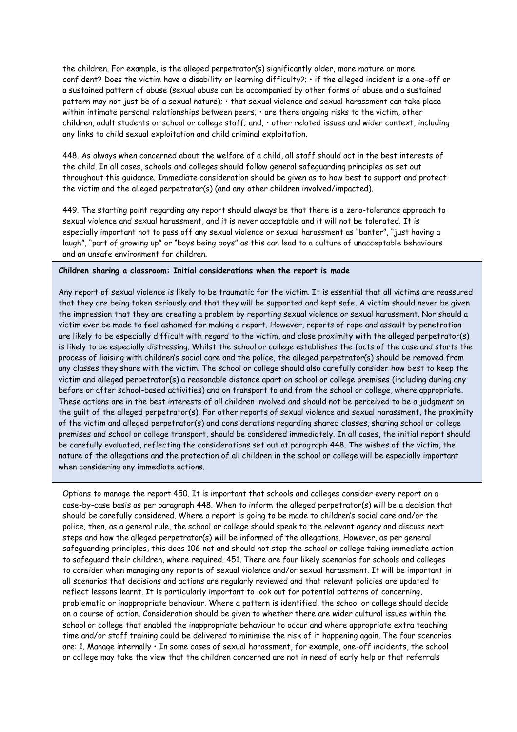the children. For example, is the alleged perpetrator(s) significantly older, more mature or more confident? Does the victim have a disability or learning difficulty?; • if the alleged incident is a one-off or a sustained pattern of abuse (sexual abuse can be accompanied by other forms of abuse and a sustained pattern may not just be of a sexual nature); • that sexual violence and sexual harassment can take place within intimate personal relationships between peers; • are there ongoing risks to the victim, other children, adult students or school or college staff; and, • other related issues and wider context, including any links to child sexual exploitation and child criminal exploitation.

448. As always when concerned about the welfare of a child, all staff should act in the best interests of the child. In all cases, schools and colleges should follow general safeguarding principles as set out throughout this guidance. Immediate consideration should be given as to how best to support and protect the victim and the alleged perpetrator(s) (and any other children involved/impacted).

449. The starting point regarding any report should always be that there is a zero-tolerance approach to sexual violence and sexual harassment, and it is never acceptable and it will not be tolerated. It is especially important not to pass off any sexual violence or sexual harassment as "banter", "just having a laugh", "part of growing up" or "boys being boys" as this can lead to a culture of unacceptable behaviours and an unsafe environment for children.

## **Children sharing a classroom: Initial considerations when the report is made**

Any report of sexual violence is likely to be traumatic for the victim. It is essential that all victims are reassured that they are being taken seriously and that they will be supported and kept safe. A victim should never be given the impression that they are creating a problem by reporting sexual violence or sexual harassment. Nor should a victim ever be made to feel ashamed for making a report. However, reports of rape and assault by penetration are likely to be especially difficult with regard to the victim, and close proximity with the alleged perpetrator(s) is likely to be especially distressing. Whilst the school or college establishes the facts of the case and starts the process of liaising with children's social care and the police, the alleged perpetrator(s) should be removed from any classes they share with the victim. The school or college should also carefully consider how best to keep the victim and alleged perpetrator(s) a reasonable distance apart on school or college premises (including during any before or after school-based activities) and on transport to and from the school or college, where appropriate. These actions are in the best interests of all children involved and should not be perceived to be a judgment on the guilt of the alleged perpetrator(s). For other reports of sexual violence and sexual harassment, the proximity of the victim and alleged perpetrator(s) and considerations regarding shared classes, sharing school or college premises and school or college transport, should be considered immediately. In all cases, the initial report should be carefully evaluated, reflecting the considerations set out at paragraph 448. The wishes of the victim, the nature of the allegations and the protection of all children in the school or college will be especially important when considering any immediate actions.

Options to manage the report 450. It is important that schools and colleges consider every report on a case-by-case basis as per paragraph 448. When to inform the alleged perpetrator(s) will be a decision that should be carefully considered. Where a report is going to be made to children's social care and/or the police, then, as a general rule, the school or college should speak to the relevant agency and discuss next steps and how the alleged perpetrator(s) will be informed of the allegations. However, as per general safeguarding principles, this does 106 not and should not stop the school or college taking immediate action to safeguard their children, where required. 451. There are four likely scenarios for schools and colleges to consider when managing any reports of sexual violence and/or sexual harassment. It will be important in all scenarios that decisions and actions are regularly reviewed and that relevant policies are updated to reflect lessons learnt. It is particularly important to look out for potential patterns of concerning, problematic or inappropriate behaviour. Where a pattern is identified, the school or college should decide on a course of action. Consideration should be given to whether there are wider cultural issues within the school or college that enabled the inappropriate behaviour to occur and where appropriate extra teaching time and/or staff training could be delivered to minimise the risk of it happening again. The four scenarios are: 1. Manage internally • In some cases of sexual harassment, for example, one-off incidents, the school or college may take the view that the children concerned are not in need of early help or that referrals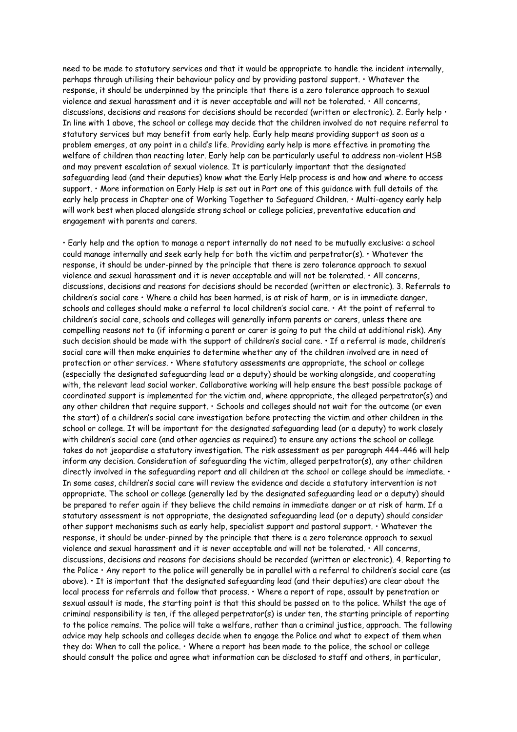need to be made to statutory services and that it would be appropriate to handle the incident internally, perhaps through utilising their behaviour policy and by providing pastoral support. • Whatever the response, it should be underpinned by the principle that there is a zero tolerance approach to sexual violence and sexual harassment and it is never acceptable and will not be tolerated. • All concerns, discussions, decisions and reasons for decisions should be recorded (written or electronic). 2. Early help  $\cdot$ In line with 1 above, the school or college may decide that the children involved do not require referral to statutory services but may benefit from early help. Early help means providing support as soon as a problem emerges, at any point in a child's life. Providing early help is more effective in promoting the welfare of children than reacting later. Early help can be particularly useful to address non-violent HSB and may prevent escalation of sexual violence. It is particularly important that the designated safeguarding lead (and their deputies) know what the Early Help process is and how and where to access support. • More information on Early Help is set out in Part one of this guidance with full details of the early help process in Chapter one of Working Together to Safeguard Children. • Multi-agency early help will work best when placed alongside strong school or college policies, preventative education and engagement with parents and carers.

• Early help and the option to manage a report internally do not need to be mutually exclusive: a school could manage internally and seek early help for both the victim and perpetrator(s). • Whatever the response, it should be under-pinned by the principle that there is zero tolerance approach to sexual violence and sexual harassment and it is never acceptable and will not be tolerated. • All concerns, discussions, decisions and reasons for decisions should be recorded (written or electronic). 3. Referrals to children's social care • Where a child has been harmed, is at risk of harm, or is in immediate danger, schools and colleges should make a referral to local children's social care.  $\cdot$  At the point of referral to children's social care, schools and colleges will generally inform parents or carers, unless there are compelling reasons not to (if informing a parent or carer is going to put the child at additional risk). Any such decision should be made with the support of children's social care. • If a referral is made, children's social care will then make enquiries to determine whether any of the children involved are in need of protection or other services. • Where statutory assessments are appropriate, the school or college (especially the designated safeguarding lead or a deputy) should be working alongside, and cooperating with, the relevant lead social worker. Collaborative working will help ensure the best possible package of coordinated support is implemented for the victim and, where appropriate, the alleged perpetrator(s) and any other children that require support. • Schools and colleges should not wait for the outcome (or even the start) of a children's social care investigation before protecting the victim and other children in the school or college. It will be important for the designated safeguarding lead (or a deputy) to work closely with children's social care (and other agencies as required) to ensure any actions the school or college takes do not jeopardise a statutory investigation. The risk assessment as per paragraph 444-446 will help inform any decision. Consideration of safeguarding the victim, alleged perpetrator(s), any other children directly involved in the safeguarding report and all children at the school or college should be immediate.  $\cdot$ In some cases, children's social care will review the evidence and decide a statutory intervention is not appropriate. The school or college (generally led by the designated safeguarding lead or a deputy) should be prepared to refer again if they believe the child remains in immediate danger or at risk of harm. If a statutory assessment is not appropriate, the designated safeguarding lead (or a deputy) should consider other support mechanisms such as early help, specialist support and pastoral support. • Whatever the response, it should be under-pinned by the principle that there is a zero tolerance approach to sexual violence and sexual harassment and it is never acceptable and will not be tolerated. • All concerns, discussions, decisions and reasons for decisions should be recorded (written or electronic). 4. Reporting to the Police  $\cdot$  Any report to the police will generally be in parallel with a referral to children's social care (as above). • It is important that the designated safeguarding lead (and their deputies) are clear about the local process for referrals and follow that process. • Where a report of rape, assault by penetration or sexual assault is made, the starting point is that this should be passed on to the police. Whilst the age of criminal responsibility is ten, if the alleged perpetrator(s) is under ten, the starting principle of reporting to the police remains. The police will take a welfare, rather than a criminal justice, approach. The following advice may help schools and colleges decide when to engage the Police and what to expect of them when they do: When to call the police. • Where a report has been made to the police, the school or college should consult the police and agree what information can be disclosed to staff and others, in particular,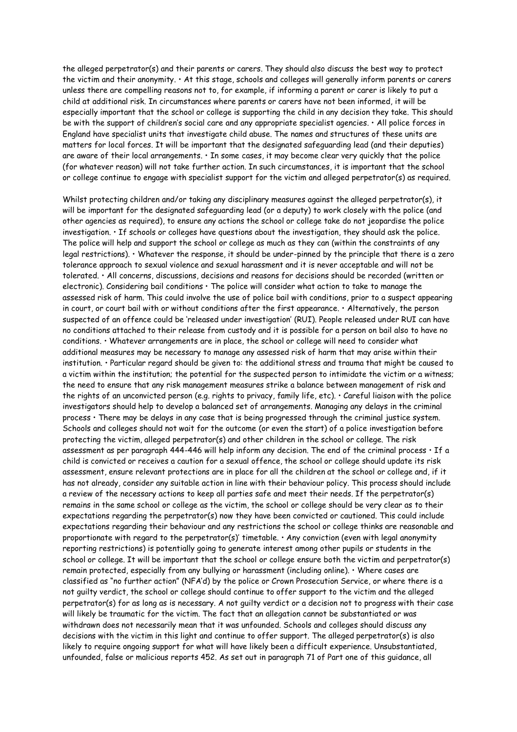the alleged perpetrator(s) and their parents or carers. They should also discuss the best way to protect the victim and their anonymity. • At this stage, schools and colleges will generally inform parents or carers unless there are compelling reasons not to, for example, if informing a parent or carer is likely to put a child at additional risk. In circumstances where parents or carers have not been informed, it will be especially important that the school or college is supporting the child in any decision they take. This should be with the support of children's social care and any appropriate specialist agencies. • All police forces in England have specialist units that investigate child abuse. The names and structures of these units are matters for local forces. It will be important that the designated safeguarding lead (and their deputies) are aware of their local arrangements. • In some cases, it may become clear very quickly that the police (for whatever reason) will not take further action. In such circumstances, it is important that the school or college continue to engage with specialist support for the victim and alleged perpetrator(s) as required.

Whilst protecting children and/or taking any disciplinary measures against the alleged perpetrator(s), it will be important for the designated safeguarding lead (or a deputy) to work closely with the police (and other agencies as required), to ensure any actions the school or college take do not jeopardise the police investigation. • If schools or colleges have questions about the investigation, they should ask the police. The police will help and support the school or college as much as they can (within the constraints of any legal restrictions). • Whatever the response, it should be under-pinned by the principle that there is a zero tolerance approach to sexual violence and sexual harassment and it is never acceptable and will not be tolerated. • All concerns, discussions, decisions and reasons for decisions should be recorded (written or electronic). Considering bail conditions • The police will consider what action to take to manage the assessed risk of harm. This could involve the use of police bail with conditions, prior to a suspect appearing in court, or court bail with or without conditions after the first appearance. • Alternatively, the person suspected of an offence could be 'released under investigation' (RUI). People released under RUI can have no conditions attached to their release from custody and it is possible for a person on bail also to have no conditions. • Whatever arrangements are in place, the school or college will need to consider what additional measures may be necessary to manage any assessed risk of harm that may arise within their institution. • Particular regard should be given to: the additional stress and trauma that might be caused to a victim within the institution; the potential for the suspected person to intimidate the victim or a witness; the need to ensure that any risk management measures strike a balance between management of risk and the rights of an unconvicted person (e.g. rights to privacy, family life, etc). • Careful liaison with the police investigators should help to develop a balanced set of arrangements. Managing any delays in the criminal process • There may be delays in any case that is being progressed through the criminal justice system. Schools and colleges should not wait for the outcome (or even the start) of a police investigation before protecting the victim, alleged perpetrator(s) and other children in the school or college. The risk assessment as per paragraph 444-446 will help inform any decision. The end of the criminal process • If a child is convicted or receives a caution for a sexual offence, the school or college should update its risk assessment, ensure relevant protections are in place for all the children at the school or college and, if it has not already, consider any suitable action in line with their behaviour policy. This process should include a review of the necessary actions to keep all parties safe and meet their needs. If the perpetrator(s) remains in the same school or college as the victim, the school or college should be very clear as to their expectations regarding the perpetrator(s) now they have been convicted or cautioned. This could include expectations regarding their behaviour and any restrictions the school or college thinks are reasonable and proportionate with regard to the perpetrator(s)' timetable.  $\cdot$  Any conviction (even with legal anonymity reporting restrictions) is potentially going to generate interest among other pupils or students in the school or college. It will be important that the school or college ensure both the victim and perpetrator(s) remain protected, especially from any bullying or harassment (including online). • Where cases are classified as "no further action" (NFA'd) by the police or Crown Prosecution Service, or where there is a not guilty verdict, the school or college should continue to offer support to the victim and the alleged perpetrator(s) for as long as is necessary. A not guilty verdict or a decision not to progress with their case will likely be traumatic for the victim. The fact that an allegation cannot be substantiated or was withdrawn does not necessarily mean that it was unfounded. Schools and colleges should discuss any decisions with the victim in this light and continue to offer support. The alleged perpetrator(s) is also likely to require ongoing support for what will have likely been a difficult experience. Unsubstantiated, unfounded, false or malicious reports 452. As set out in paragraph 71 of Part one of this guidance, all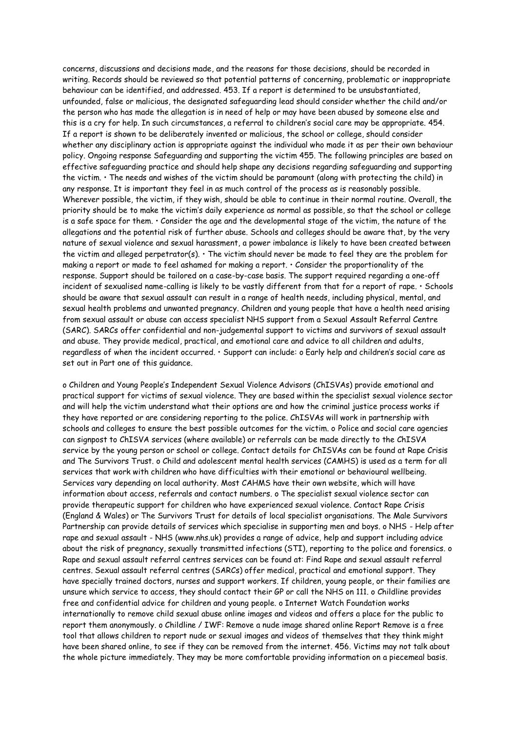concerns, discussions and decisions made, and the reasons for those decisions, should be recorded in writing. Records should be reviewed so that potential patterns of concerning, problematic or inappropriate behaviour can be identified, and addressed. 453. If a report is determined to be unsubstantiated, unfounded, false or malicious, the designated safeguarding lead should consider whether the child and/or the person who has made the allegation is in need of help or may have been abused by someone else and this is a cry for help. In such circumstances, a referral to children's social care may be appropriate. 454. If a report is shown to be deliberately invented or malicious, the school or college, should consider whether any disciplinary action is appropriate against the individual who made it as per their own behaviour policy. Ongoing response Safeguarding and supporting the victim 455. The following principles are based on effective safeguarding practice and should help shape any decisions regarding safeguarding and supporting the victim. • The needs and wishes of the victim should be paramount (along with protecting the child) in any response. It is important they feel in as much control of the process as is reasonably possible. Wherever possible, the victim, if they wish, should be able to continue in their normal routine. Overall, the priority should be to make the victim's daily experience as normal as possible, so that the school or college is a safe space for them. • Consider the age and the developmental stage of the victim, the nature of the allegations and the potential risk of further abuse. Schools and colleges should be aware that, by the very nature of sexual violence and sexual harassment, a power imbalance is likely to have been created between the victim and alleged perpetrator(s). • The victim should never be made to feel they are the problem for making a report or made to feel ashamed for making a report. • Consider the proportionality of the response. Support should be tailored on a case-by-case basis. The support required regarding a one-off incident of sexualised name-calling is likely to be vastly different from that for a report of rape. • Schools should be aware that sexual assault can result in a range of health needs, including physical, mental, and sexual health problems and unwanted pregnancy. Children and young people that have a health need arising from sexual assault or abuse can access specialist NHS support from a Sexual Assault Referral Centre (SARC). SARCs offer confidential and non-judgemental support to victims and survivors of sexual assault and abuse. They provide medical, practical, and emotional care and advice to all children and adults, regardless of when the incident occurred. • Support can include: o Early help and children's social care as set out in Part one of this guidance.

o Children and Young People's Independent Sexual Violence Advisors (ChISVAs) provide emotional and practical support for victims of sexual violence. They are based within the specialist sexual violence sector and will help the victim understand what their options are and how the criminal justice process works if they have reported or are considering reporting to the police. ChISVAs will work in partnership with schools and colleges to ensure the best possible outcomes for the victim. o Police and social care agencies can signpost to ChISVA services (where available) or referrals can be made directly to the ChISVA service by the young person or school or college. Contact details for ChISVAs can be found at Rape Crisis and The Survivors Trust. o Child and adolescent mental health services (CAMHS) is used as a term for all services that work with children who have difficulties with their emotional or behavioural wellbeing. Services vary depending on local authority. Most CAHMS have their own website, which will have information about access, referrals and contact numbers. o The specialist sexual violence sector can provide therapeutic support for children who have experienced sexual violence. Contact Rape Crisis (England & Wales) or The Survivors Trust for details of local specialist organisations. The Male Survivors Partnership can provide details of services which specialise in supporting men and boys. o NHS - Help after rape and sexual assault - NHS (www.nhs.uk) provides a range of advice, help and support including advice about the risk of pregnancy, sexually transmitted infections (STI), reporting to the police and forensics. o Rape and sexual assault referral centres services can be found at: Find Rape and sexual assault referral centres. Sexual assault referral centres (SARCs) offer medical, practical and emotional support. They have specially trained doctors, nurses and support workers. If children, young people, or their families are unsure which service to access, they should contact their GP or call the NHS on 111. o Childline provides free and confidential advice for children and young people. o Internet Watch Foundation works internationally to remove child sexual abuse online images and videos and offers a place for the public to report them anonymously. o Childline / IWF: Remove a nude image shared online Report Remove is a free tool that allows children to report nude or sexual images and videos of themselves that they think might have been shared online, to see if they can be removed from the internet. 456. Victims may not talk about the whole picture immediately. They may be more comfortable providing information on a piecemeal basis.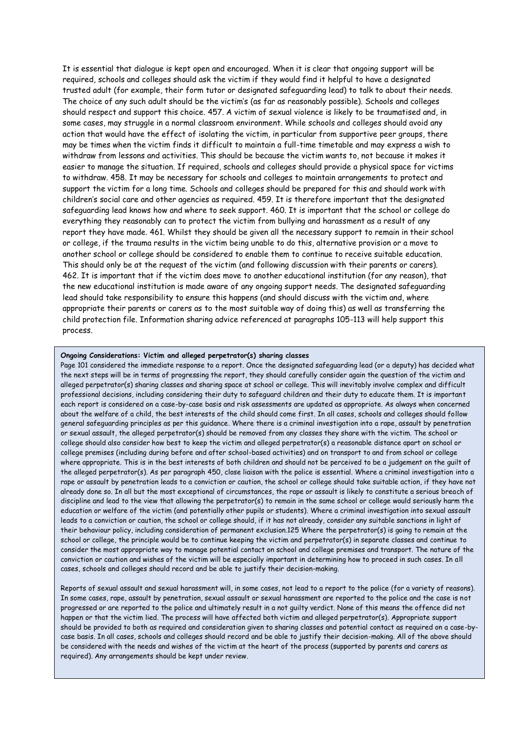It is essential that dialogue is kept open and encouraged. When it is clear that ongoing support will be required, schools and colleges should ask the victim if they would find it helpful to have a designated trusted adult (for example, their form tutor or designated safeguarding lead) to talk to about their needs. The choice of any such adult should be the victim's (as far as reasonably possible). Schools and colleges should respect and support this choice. 457. A victim of sexual violence is likely to be traumatised and, in some cases, may struggle in a normal classroom environment. While schools and colleges should avoid any action that would have the effect of isolating the victim, in particular from supportive peer groups, there may be times when the victim finds it difficult to maintain a full-time timetable and may express a wish to withdraw from lessons and activities. This should be because the victim wants to, not because it makes it easier to manage the situation. If required, schools and colleges should provide a physical space for victims to withdraw. 458. It may be necessary for schools and colleges to maintain arrangements to protect and support the victim for a long time. Schools and colleges should be prepared for this and should work with children's social care and other agencies as required. 459. It is therefore important that the designated safeguarding lead knows how and where to seek support. 460. It is important that the school or college do everything they reasonably can to protect the victim from bullying and harassment as a result of any report they have made. 461. Whilst they should be given all the necessary support to remain in their school or college, if the trauma results in the victim being unable to do this, alternative provision or a move to another school or college should be considered to enable them to continue to receive suitable education. This should only be at the request of the victim (and following discussion with their parents or carers). 462. It is important that if the victim does move to another educational institution (for any reason), that the new educational institution is made aware of any ongoing support needs. The designated safeguarding lead should take responsibility to ensure this happens (and should discuss with the victim and, where appropriate their parents or carers as to the most suitable way of doing this) as well as transferring the child protection file. Information sharing advice referenced at paragraphs 105-113 will help support this process.

## **Ongoing Considerations: Victim and alleged perpetrator(s) sharing classes**

Page 101 considered the immediate response to a report. Once the designated safeguarding lead (or a deputy) has decided what the next steps will be in terms of progressing the report, they should carefully consider again the question of the victim and alleged perpetrator(s) sharing classes and sharing space at school or college. This will inevitably involve complex and difficult professional decisions, including considering their duty to safeguard children and their duty to educate them. It is important each report is considered on a case-by-case basis and risk assessments are updated as appropriate. As always when concerned about the welfare of a child, the best interests of the child should come first. In all cases, schools and colleges should follow general safeguarding principles as per this guidance. Where there is a criminal investigation into a rape, assault by penetration or sexual assault, the alleged perpetrator(s) should be removed from any classes they share with the victim. The school or college should also consider how best to keep the victim and alleged perpetrator(s) a reasonable distance apart on school or college premises (including during before and after school-based activities) and on transport to and from school or college where appropriate. This is in the best interests of both children and should not be perceived to be a judgement on the guilt of the alleged perpetrator(s). As per paragraph 450, close liaison with the police is essential. Where a criminal investigation into a rape or assault by penetration leads to a conviction or caution, the school or college should take suitable action, if they have not already done so. In all but the most exceptional of circumstances, the rape or assault is likely to constitute a serious breach of discipline and lead to the view that allowing the perpetrator(s) to remain in the same school or college would seriously harm the education or welfare of the victim (and potentially other pupils or students). Where a criminal investigation into sexual assault leads to a conviction or caution, the school or college should, if it has not already, consider any suitable sanctions in light of their behaviour policy, including consideration of permanent exclusion.125 Where the perpetrator(s) is going to remain at the school or college, the principle would be to continue keeping the victim and perpetrator(s) in separate classes and continue to consider the most appropriate way to manage potential contact on school and college premises and transport. The nature of the conviction or caution and wishes of the victim will be especially important in determining how to proceed in such cases. In all cases, schools and colleges should record and be able to justify their decision-making.

Reports of sexual assault and sexual harassment will, in some cases, not lead to a report to the police (for a variety of reasons). In some cases, rape, assault by penetration, sexual assault or sexual harassment are reported to the police and the case is not progressed or are reported to the police and ultimately result in a not guilty verdict. None of this means the offence did not happen or that the victim lied. The process will have affected both victim and alleged perpetrator(s). Appropriate support should be provided to both as required and consideration given to sharing classes and potential contact as required on a case-bycase basis. In all cases, schools and colleges should record and be able to justify their decision-making. All of the above should be considered with the needs and wishes of the victim at the heart of the process (supported by parents and carers as required). Any arrangements should be kept under review.